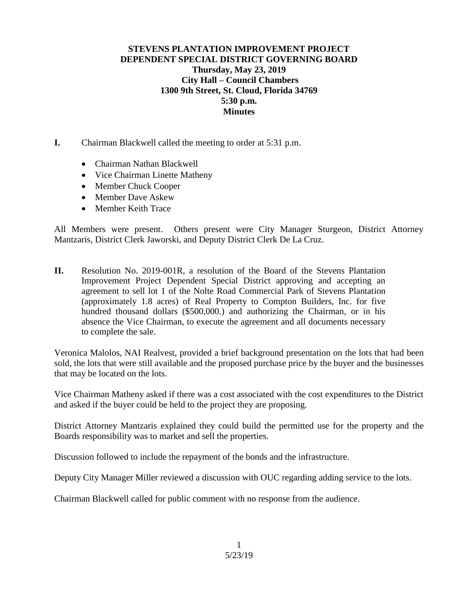## **STEVENS PLANTATION IMPROVEMENT PROJECT DEPENDENT SPECIAL DISTRICT GOVERNING BOARD Thursday, May 23, 2019 City Hall – Council Chambers 1300 9th Street, St. Cloud, Florida 34769 5:30 p.m. Minutes**

- **I.** Chairman Blackwell called the meeting to order at 5:31 p.m.
	- Chairman Nathan Blackwell
	- Vice Chairman Linette Matheny
	- Member Chuck Cooper
	- Member Dave Askew
	- Member Keith Trace

All Members were present. Others present were City Manager Sturgeon, District Attorney Mantzaris, District Clerk Jaworski, and Deputy District Clerk De La Cruz.

**II.** Resolution No. 2019-001R, a resolution of the Board of the Stevens Plantation Improvement Project Dependent Special District approving and accepting an agreement to sell lot 1 of the Nolte Road Commercial Park of Stevens Plantation (approximately 1.8 acres) of Real Property to Compton Builders, Inc. for five hundred thousand dollars (\$500,000.) and authorizing the Chairman, or in his absence the Vice Chairman, to execute the agreement and all documents necessary to complete the sale.

Veronica Malolos, NAI Realvest, provided a brief background presentation on the lots that had been sold, the lots that were still available and the proposed purchase price by the buyer and the businesses that may be located on the lots.

Vice Chairman Matheny asked if there was a cost associated with the cost expenditures to the District and asked if the buyer could be held to the project they are proposing.

District Attorney Mantzaris explained they could build the permitted use for the property and the Boards responsibility was to market and sell the properties.

Discussion followed to include the repayment of the bonds and the infrastructure.

Deputy City Manager Miller reviewed a discussion with OUC regarding adding service to the lots.

Chairman Blackwell called for public comment with no response from the audience.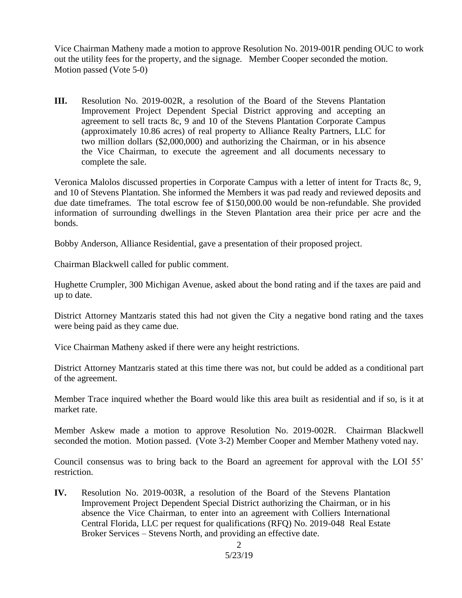Vice Chairman Matheny made a motion to approve Resolution No. 2019-001R pending OUC to work out the utility fees for the property, and the signage. Member Cooper seconded the motion. Motion passed (Vote 5-0)

**III.** Resolution No. 2019-002R, a resolution of the Board of the Stevens Plantation Improvement Project Dependent Special District approving and accepting an agreement to sell tracts 8c, 9 and 10 of the Stevens Plantation Corporate Campus (approximately 10.86 acres) of real property to Alliance Realty Partners, LLC for two million dollars (\$2,000,000) and authorizing the Chairman, or in his absence the Vice Chairman, to execute the agreement and all documents necessary to complete the sale.

Veronica Malolos discussed properties in Corporate Campus with a letter of intent for Tracts 8c, 9, and 10 of Stevens Plantation. She informed the Members it was pad ready and reviewed deposits and due date timeframes. The total escrow fee of \$150,000.00 would be non-refundable. She provided information of surrounding dwellings in the Steven Plantation area their price per acre and the bonds.

Bobby Anderson, Alliance Residential, gave a presentation of their proposed project.

Chairman Blackwell called for public comment.

Hughette Crumpler, 300 Michigan Avenue, asked about the bond rating and if the taxes are paid and up to date.

District Attorney Mantzaris stated this had not given the City a negative bond rating and the taxes were being paid as they came due.

Vice Chairman Matheny asked if there were any height restrictions.

District Attorney Mantzaris stated at this time there was not, but could be added as a conditional part of the agreement.

Member Trace inquired whether the Board would like this area built as residential and if so, is it at market rate.

Member Askew made a motion to approve Resolution No. 2019-002R. Chairman Blackwell seconded the motion. Motion passed. (Vote 3-2) Member Cooper and Member Matheny voted nay.

Council consensus was to bring back to the Board an agreement for approval with the LOI 55' restriction.

**IV.** Resolution No. 2019-003R, a resolution of the Board of the Stevens Plantation Improvement Project Dependent Special District authorizing the Chairman, or in his absence the Vice Chairman, to enter into an agreement with Colliers International Central Florida, LLC per request for qualifications (RFQ) No. 2019-048 Real Estate Broker Services – Stevens North, and providing an effective date.